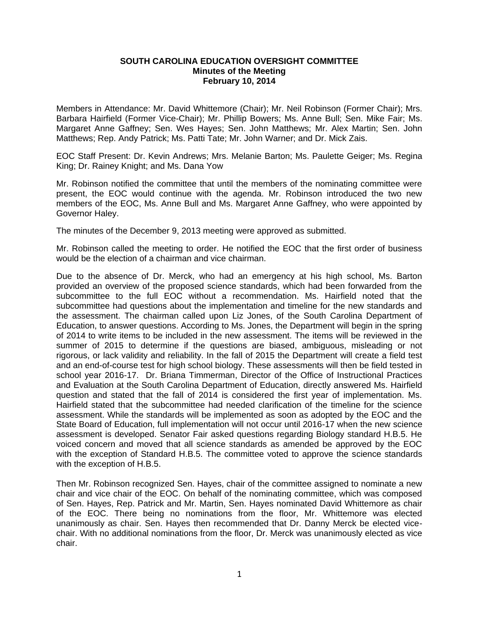## **SOUTH CAROLINA EDUCATION OVERSIGHT COMMITTEE Minutes of the Meeting February 10, 2014**

Members in Attendance: Mr. David Whittemore (Chair); Mr. Neil Robinson (Former Chair); Mrs. Barbara Hairfield (Former Vice-Chair); Mr. Phillip Bowers; Ms. Anne Bull; Sen. Mike Fair; Ms. Margaret Anne Gaffney; Sen. Wes Hayes; Sen. John Matthews; Mr. Alex Martin; Sen. John Matthews; Rep. Andy Patrick; Ms. Patti Tate; Mr. John Warner; and Dr. Mick Zais.

EOC Staff Present: Dr. Kevin Andrews; Mrs. Melanie Barton; Ms. Paulette Geiger; Ms. Regina King; Dr. Rainey Knight; and Ms. Dana Yow

Mr. Robinson notified the committee that until the members of the nominating committee were present, the EOC would continue with the agenda. Mr. Robinson introduced the two new members of the EOC, Ms. Anne Bull and Ms. Margaret Anne Gaffney, who were appointed by Governor Haley.

The minutes of the December 9, 2013 meeting were approved as submitted.

Mr. Robinson called the meeting to order. He notified the EOC that the first order of business would be the election of a chairman and vice chairman.

Due to the absence of Dr. Merck, who had an emergency at his high school, Ms. Barton provided an overview of the proposed science standards, which had been forwarded from the subcommittee to the full EOC without a recommendation. Ms. Hairfield noted that the subcommittee had questions about the implementation and timeline for the new standards and the assessment. The chairman called upon Liz Jones, of the South Carolina Department of Education, to answer questions. According to Ms. Jones, the Department will begin in the spring of 2014 to write items to be included in the new assessment. The items will be reviewed in the summer of 2015 to determine if the questions are biased, ambiguous, misleading or not rigorous, or lack validity and reliability. In the fall of 2015 the Department will create a field test and an end-of-course test for high school biology. These assessments will then be field tested in school year 2016-17. Dr. Briana Timmerman, Director of the Office of Instructional Practices and Evaluation at the South Carolina Department of Education, directly answered Ms. Hairfield question and stated that the fall of 2014 is considered the first year of implementation. Ms. Hairfield stated that the subcommittee had needed clarification of the timeline for the science assessment. While the standards will be implemented as soon as adopted by the EOC and the State Board of Education, full implementation will not occur until 2016-17 when the new science assessment is developed. Senator Fair asked questions regarding Biology standard H.B.5. He voiced concern and moved that all science standards as amended be approved by the EOC with the exception of Standard H.B.5. The committee voted to approve the science standards with the exception of H.B.5.

Then Mr. Robinson recognized Sen. Hayes, chair of the committee assigned to nominate a new chair and vice chair of the EOC. On behalf of the nominating committee, which was composed of Sen. Hayes, Rep. Patrick and Mr. Martin, Sen. Hayes nominated David Whittemore as chair of the EOC. There being no nominations from the floor, Mr. Whittemore was elected unanimously as chair. Sen. Hayes then recommended that Dr. Danny Merck be elected vicechair. With no additional nominations from the floor, Dr. Merck was unanimously elected as vice chair.